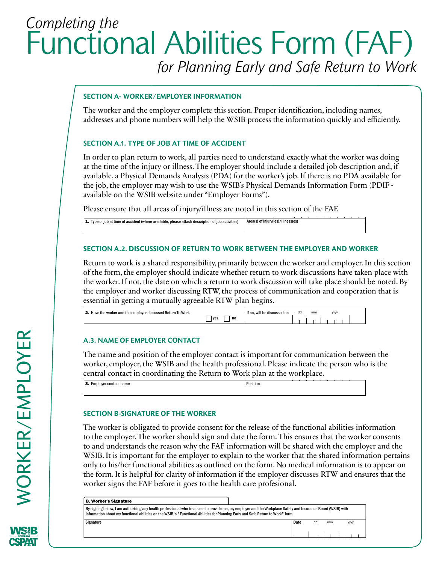# *Completing the*  Functional Abilities Form (FAF) *for Planning Early and Safe Return to Work*

# SECTION A- WORKER/EMPLOYER <mark>INFORMATION</mark>

The worker and the employer complete this section. Proper identification, including names, addresses and phone numbers will help the WSIB process the information quickly and efficiently. A A- WORKER/EMPLOYER INFORMATION<br>
Ref and the employer complete this section. Proper identification<br>
and there numbers will help the WSIP reserce the information  $\mathbf{A}$  to be completed by the employer and or  $\mathbf{A}$ 

## SECTION A.1. TYPE OF JOB AT TIME OF ACCIDENT

or Fax to:

In order to plan return to work, all parties need to understand exactly what the worker was doing at the time of the injury or illness. The employer should include a detailed job description and, if available, a Physical Demands Analysis (PDA) for the worker's job. If there is no PDA available for the job, the employer may wish to use the WSIB's Physical Demands Information Form (PDIF available on the WSIB website under "Employer Forms"). me of the injury or illness. The employer should include a deta<br>e, a Physical Demands Analysis (PDA) for the worker's job. If the<br>the employer may wish to use the WSIB's Physical Demands In<br>the WSIB website under "Employer

Please ensure that all areas of injury/illness are noted in this section of the FAF.

1. Type of job at time of accident (where available, please attach description of job activities) Area(s) of injury(ies)/illness(es)

# **SECTION A.2. DISCUSSION OF RETURN TO WORK BETWEEN THE EMPLOYER AND WORKER** Please Producting (Which distances), product distances in pound of you didentities), and the computer of the employment of the employment of the employment of the employment of the employment of the employment of the emplo

Return to work is a shared responsibility, primarily between the worker and employer. In this section of the form, the employer should indicate whether return to work discussions have taken place with the worker. If not, the date on which a return to work discussion will take place should be noted. By the employer and worker discussing RTW, the process of communication and cooperation that is essential in getting a mutually agreeable RTW plan begins. Neturn to work is a shared responsibility, primarily between the worke

**Functional Abilities Form**

|  |  | <b>2.</b> Have the worker and the employer discussed Return To Work |       |    | If no, will be discussed on | dd | mm | yyyy |  |
|--|--|---------------------------------------------------------------------|-------|----|-----------------------------|----|----|------|--|
|  |  |                                                                     | l ves | no |                             |    |    |      |  |
|  |  |                                                                     |       |    |                             |    |    |      |  |
|  |  |                                                                     |       |    |                             |    |    |      |  |
|  |  | A.3. NAME OF EMPLOYER CONTACT                                       |       |    |                             |    |    |      |  |
|  |  |                                                                     |       |    |                             |    |    |      |  |

#### **A.3. NAME OF EMPLOYER CONTACT**

Mail to:

The name and position of the employer contact is important for communication between the worker, employer, the WSIB and the health professional. Please indicate the person who is the central contact in coordinating the Return to Work plan at the workplace. information abilities on the WSIB's  $\frac{1}{\sqrt{5}}$  Functional Abilities for Planning Early and Safe Return to Work for Planning Early and Safe Return to Work for Planning Early and Safe Return to Work for Planning Early and stated, employer, the west that the nearest processional reasonance the person entral contact in coordinating the Return to Work plan at the workplace. worker employer the WSIR and the health professional Please indicate  $\mathbf{r}$ 

|                          | __ | __       |  |
|--------------------------|----|----------|--|
| 3. Employer contact name |    | Position |  |
|                          |    |          |  |
|                          |    |          |  |

# **SECTION B-SIGNATURE OF THE WORKER**

For billing purposes fax or mail pages 2 and 3 to the WSIB.

C. Health Professional's Billing Information

The worker is obligated to provide consent for the release of the functional abilities information to the employer. The worker should sign and date the form. This ensures that the worker consents to and understands the reason why the FAF information will be shared with the employer and the WSIB. It is important for the employer to explain to the worker that the shared information pertains only to his/her functional abilities as outlined on the form. No medical information is to appear on the form. It is helpful for clarity of information if the employer discusses RTW and ensures that the worker signs the FAF before it goes to the health care profesional.  $\mu$ , to move the control as solution of the form the interest information is The worker is obtigated to provide consent for the refease of the ranctional.  $\mathbf{A}$ IN STETTE IS IMPORTANT FOR THE EMPLOYER TO EMPLAIN TO THE WORKER THAT THE UNITED IN<br>2. Have the interpretational abilities as outlined on the form. No medical information C and understands the Ieaso. Are the signed and the distribution of green in the nine distribution in the provider ID. in the box provider I r 1110 0110013<br>Helena herried the direction of the reader why the reaction mornation while  $\sigma$  $\frac{1}{2}$ . Employer contact name Position is not a set of  $\frac{1}{2}$ 

| <b>B. Worker's Signature</b>                                                                                                                                                                                                                                                                    |      |    |    |      |
|-------------------------------------------------------------------------------------------------------------------------------------------------------------------------------------------------------------------------------------------------------------------------------------------------|------|----|----|------|
| By signing below, I am authorizing any health professional who treats me to provide me, my employer and the Workplace Safety and Insurance Board (WSIB) with<br>information about my functional abilities on the WSIB's "Functional Abilities for Planning Early and Safe Return to Work" form. |      |    |    |      |
| Signature                                                                                                                                                                                                                                                                                       | Date | dd | mm | yyyy |
|                                                                                                                                                                                                                                                                                                 |      |    |    |      |

City/Town Province Postal Code Fax

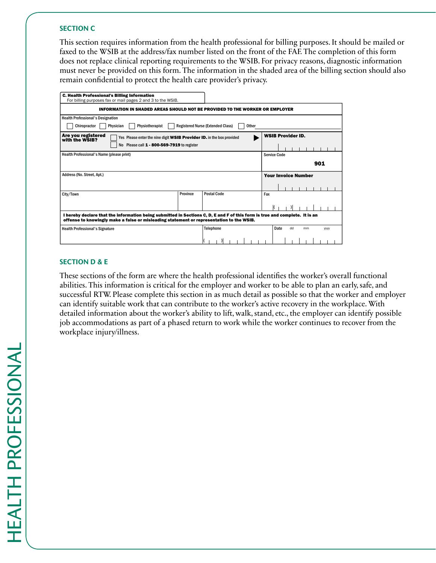#### **SECTION C 3. Employer contact name Position C**

This section requires information from the health professional for billing purposes. It should be mailed or faxed to the WSIB at the address/fax number listed on the front of the FAF. The completion of this form does not replace clinical reporting requirements to the WSIB. For privacy reasons, diagnostic information must never be provided on this form. The information in the shaded area of the billing section should also remain confidential to protect the health care provider's privacy.

| <b>C. Health Professional's Billing Information</b><br>For billing purposes fax or mail pages 2 and 3 to the WSIB.                                                                                                      |          |                                                   |                                 |
|-------------------------------------------------------------------------------------------------------------------------------------------------------------------------------------------------------------------------|----------|---------------------------------------------------|---------------------------------|
| <b>INFORMATION IN SHADED AREAS SHOULD NOT BE PROVIDED TO THE WORKER OR EMPLOYER</b>                                                                                                                                     |          |                                                   |                                 |
| <b>Health Professional's Designation</b>                                                                                                                                                                                |          |                                                   |                                 |
| Chiropractor<br>Physiotherapist<br>Physician                                                                                                                                                                            |          | <b>Registered Nurse (Extended Class)</b><br>Other |                                 |
| Are you registered<br>Yes Please enter the nine digit WSIB Provider ID. in the box provided<br>with the WSIB?<br>No Please call 1 - 800-569-7919 to register                                                            |          |                                                   | <b>WSIB Provider ID.</b>        |
| Health Professional's Name (please print)                                                                                                                                                                               |          |                                                   | Service Code                    |
|                                                                                                                                                                                                                         |          |                                                   | 901                             |
| Address (No. Street, Apt.)                                                                                                                                                                                              |          |                                                   | <b>Your Invoice Number</b>      |
| City/Town                                                                                                                                                                                                               | Province | <b>Postal Code</b>                                | Fax                             |
| I hereby declare that the information being submitted in Sections C, D, E and F of this form is true and complete. It is an<br>offense to knowingly make a false or misleading statement or representation to the WSIB. |          |                                                   |                                 |
| <b>Health Professional's Signature</b>                                                                                                                                                                                  |          | Telephone                                         | Date<br>hh<br>mm<br><b>VVVV</b> |

 $2.1$  Have the worker and the employer discussed Return To Work discussed  $\mu$  no, will be discussed on  $\mu$ 

### **Section D & E**

These sections of the form are where the health professional identifies the worker's overall functional abilities. This information is critical for the employer and worker to be able to plan an early, safe, and successful RTW. Please complete this section in as much detail as possible so that the worker and employer can identify suitable work that can contribute to the worker's active recovery in the workplace. With detailed information about the worker's ability to lift, walk, stand, etc., the employer can identify possible job accommodations as part of a phased return to work while the worker continues to recover from the workplace injury/illness.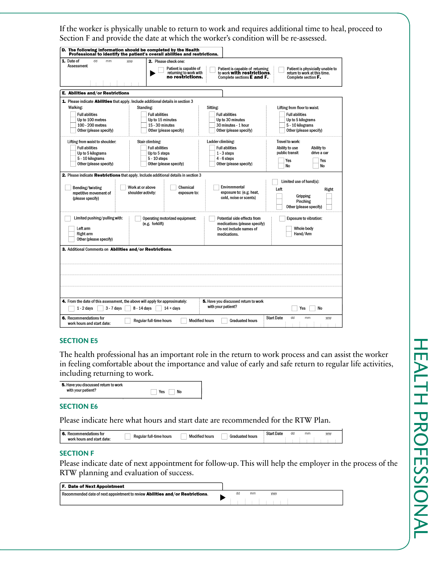If the worker is physically unable to return to work and requires additional time to heal, proceed to Section F and provide the date at which the worker's condition will be re-assessed.

| 1. Date of<br>dd<br>mm                                                                 | 2. Please check one:<br>yyyy                                                                               |                                                                                                            |                                                                                         |
|----------------------------------------------------------------------------------------|------------------------------------------------------------------------------------------------------------|------------------------------------------------------------------------------------------------------------|-----------------------------------------------------------------------------------------|
| Assessment                                                                             | Patient is capable of<br>returning to work with<br>no restrictions.                                        | Patient is capable of returning<br>to work <b>with restrictions</b> .<br>Complete sections <b>E</b> and F. | Patient is physicially unable to<br>return to work at this time.<br>Complete section F. |
|                                                                                        |                                                                                                            |                                                                                                            |                                                                                         |
| E. Abilities and/or Restrictions                                                       |                                                                                                            |                                                                                                            |                                                                                         |
|                                                                                        | 1. Please indicate Abilities that apply, Include additional details in section 3                           |                                                                                                            |                                                                                         |
| Walking:                                                                               | Standing:                                                                                                  | Sitting:                                                                                                   | Lifting from floor to waist:                                                            |
| <b>Full abilities</b>                                                                  | <b>Full abilities</b>                                                                                      | <b>Full abilities</b>                                                                                      | <b>Full abilities</b>                                                                   |
| Up to 100 metres                                                                       | Up to 15 minutes                                                                                           | Up to 30 minutes                                                                                           | Up to 5 kilograms                                                                       |
| 100 - 200 metres                                                                       | 15 - 30 minutes                                                                                            | 30 minutes - 1 hour                                                                                        | 5 - 10 kilograms                                                                        |
| Other (please specify)                                                                 | Other (please specify)                                                                                     | Other (please specify)                                                                                     | Other (please specify)                                                                  |
| Lifting from waist to shoulder:                                                        | Stair climbing:                                                                                            | Ladder climbing:                                                                                           | Travel to work:                                                                         |
| <b>Full abilities</b>                                                                  | <b>Full abilities</b>                                                                                      | <b>Full abilities</b>                                                                                      | Ability to use<br>Ability to                                                            |
| Up to 5 kilograms                                                                      | Up to 5 steps                                                                                              | $1 - 3$ steps                                                                                              | public transit<br>drive a car                                                           |
| 5 - 10 kilograms                                                                       | $5 - 10$ steps                                                                                             | $4 - 6$ steps                                                                                              | Yes<br>Yes                                                                              |
| Other (please specify)                                                                 | Other (please specify)                                                                                     | Other (please specify)                                                                                     | No<br>No                                                                                |
| (please specify)                                                                       |                                                                                                            | cold, noise or scents)                                                                                     | Gripping<br>Pinching<br>Other (please specify)                                          |
|                                                                                        |                                                                                                            | Potential side effects from                                                                                | <b>Exposure to vibration:</b>                                                           |
| Limited pushing/pulling with:                                                          | Operating motorized equipment:                                                                             |                                                                                                            |                                                                                         |
|                                                                                        | (e.g. forklift)                                                                                            | medications (please specify)                                                                               |                                                                                         |
| Left arm<br><b>Right arm</b><br>Other (please specify)                                 |                                                                                                            | Do not include names of<br>medications.                                                                    | Whole body<br>Hand/Arm                                                                  |
|                                                                                        |                                                                                                            |                                                                                                            |                                                                                         |
|                                                                                        |                                                                                                            |                                                                                                            |                                                                                         |
| 3. Additional Comments on Abilities and/or Restrictions.<br>$1 - 2$ days<br>3 - 7 days | 4. From the date of this assessment, the above will apply for approximately:<br>8 - 14 days<br>$14 + days$ | 5. Have you discussed return to work<br>with your patient?                                                 | Yes<br>No                                                                               |

#### **Section E5**

The health professional has an important role in the return to work process and can assist the worker in feeling comfortable about the importance and value of early and safe return to regular life activities, including returning to work.

| with your patient?<br>No<br>Yes |  |
|---------------------------------|--|
|---------------------------------|--|

#### **Section E6**

Please indicate here what hours and start date are recommended for the RTW Plan.

| ះ and start date:<br>work<br>hours | yyy) |
|------------------------------------|------|
|                                    |      |

#### **Section F**

Please indicate date of next appointment for follow-up. This will help the employer in the process of the RTW planning and evaluation of success.

| <b>F. Date of Next Appointment</b>                                                    |  |    |    |  |  |  |  |
|---------------------------------------------------------------------------------------|--|----|----|--|--|--|--|
| Recommended date of next appointment to review <b>Abilities and/or Restrictions</b> . |  | dd | mm |  |  |  |  |
|                                                                                       |  |    |    |  |  |  |  |